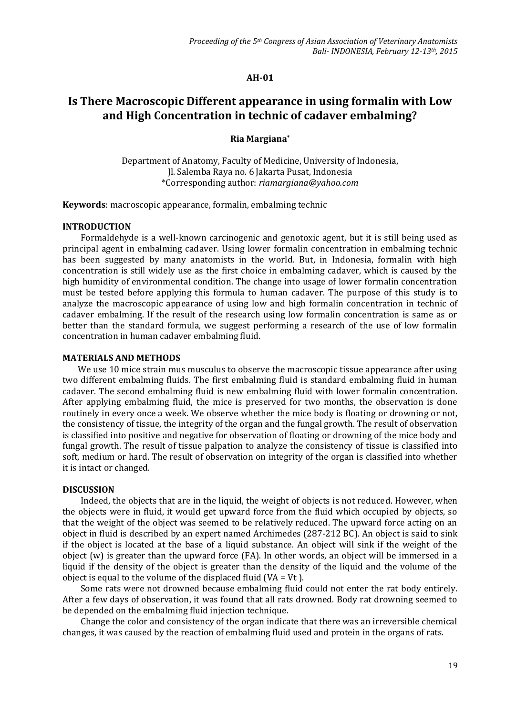#### **AH-01**

# **Is There Macroscopic Different appearance in using formalin with Low and High Concentration in technic of cadaver embalming?**

# **Ria Margiana\***

Department of Anatomy, Faculty of Medicine, University of Indonesia, Jl. Salemba Raya no. 6 Jakarta Pusat, Indonesia \*Corresponding author: *riamargiana@yahoo.com*

**Keywords**: macroscopic appearance, formalin, embalming technic

#### **INTRODUCTION**

Formaldehyde is a well-known carcinogenic and genotoxic agent, but it is still being used as principal agent in embalming cadaver. Using lower formalin concentration in embalming technic has been suggested by many anatomists in the world. But, in Indonesia, formalin with high concentration is still widely use as the first choice in embalming cadaver, which is caused by the high humidity of environmental condition. The change into usage of lower formalin concentration must be tested before applying this formula to human cadaver. The purpose of this study is to analyze the macroscopic appearance of using low and high formalin concentration in technic of cadaver embalming. If the result of the research using low formalin concentration is same as or better than the standard formula, we suggest performing a research of the use of low formalin concentration in human cadaver embalming fluid.

### **MATERIALS AND METHODS**

We use 10 mice strain mus musculus to observe the macroscopic tissue appearance after using two different embalming fluids. The first embalming fluid is standard embalming fluid in human cadaver. The second embalming fluid is new embalming fluid with lower formalin concentration. After applying embalming fluid, the mice is preserved for two months, the observation is done routinely in every once a week. We observe whether the mice body is floating or drowning or not, the consistency of tissue, the integrity of the organ and the fungal growth. The result of observation is classified into positive and negative for observation of floating or drowning of the mice body and fungal growth. The result of tissue palpation to analyze the consistency of tissue is classified into soft, medium or hard. The result of observation on integrity of the organ is classified into whether it is intact or changed.

## **DISCUSSION**

Indeed, the objects that are in the liquid, the weight of objects is not reduced. However, when the objects were in fluid, it would get upward force from the fluid which occupied by objects, so that the weight of the object was seemed to be relatively reduced. The upward force acting on an object in fluid is described by an expert named Archimedes (287-212 BC). An object is said to sink if the object is located at the base of a liquid substance. An object will sink if the weight of the object (w) is greater than the upward force (FA). In other words, an object will be immersed in a liquid if the density of the object is greater than the density of the liquid and the volume of the object is equal to the volume of the displaced fluid ( $VA = Vt$ ).

Some rats were not drowned because embalming fluid could not enter the rat body entirely. After a few days of observation, it was found that all rats drowned. Body rat drowning seemed to be depended on the embalming fluid injection technique.

Change the color and consistency of the organ indicate that there was an irreversible chemical changes, it was caused by the reaction of embalming fluid used and protein in the organs of rats.